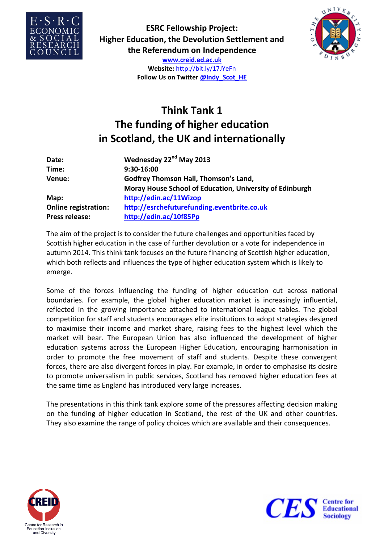

**ESRC Fellowship Project: Higher Education, the Devolution Settlement and the Referendum on Independence**



**www.creid.ed.ac.uk Website:** http://bit.ly/17JYeFn **Follow Us on Twitter @Indy\_Scot\_HE**

## **Think Tank 1 The funding of higher education in Scotland, the UK and internationally**

| Date:                       | Wednesday 22 <sup>nd</sup> May 2013                      |
|-----------------------------|----------------------------------------------------------|
| Time:                       | 9:30-16:00                                               |
| Venue:                      | <b>Godfrey Thomson Hall, Thomson's Land,</b>             |
|                             | Moray House School of Education, University of Edinburgh |
| Map:                        | http://edin.ac/11Wizop                                   |
| <b>Online registration:</b> | http://esrchefuturefunding.eventbrite.co.uk              |
| Press release:              | http://edin.ac/10f85Pp                                   |

The aim of the project is to consider the future challenges and opportunities faced by Scottish higher education in the case of further devolution or a vote for independence in autumn 2014. This think tank focuses on the future financing of Scottish higher education, which both reflects and influences the type of higher education system which is likely to emerge.

Some of the forces influencing the funding of higher education cut across national boundaries. For example, the global higher education market is increasingly influential, reflected in the growing importance attached to international league tables. The global competition for staff and students encourages elite institutions to adopt strategies designed to maximise their income and market share, raising fees to the highest level which the market will bear. The European Union has also influenced the development of higher education systems across the European Higher Education, encouraging harmonisation in order to promote the free movement of staff and students. Despite these convergent forces, there are also divergent forces in play. For example, in order to emphasise its desire to promote universalism in public services, Scotland has removed higher education fees at the same time as England has introduced very large increases.

The presentations in this think tank explore some of the pressures affecting decision making on the funding of higher education in Scotland, the rest of the UK and other countries. They also examine the range of policy choices which are available and their consequences.